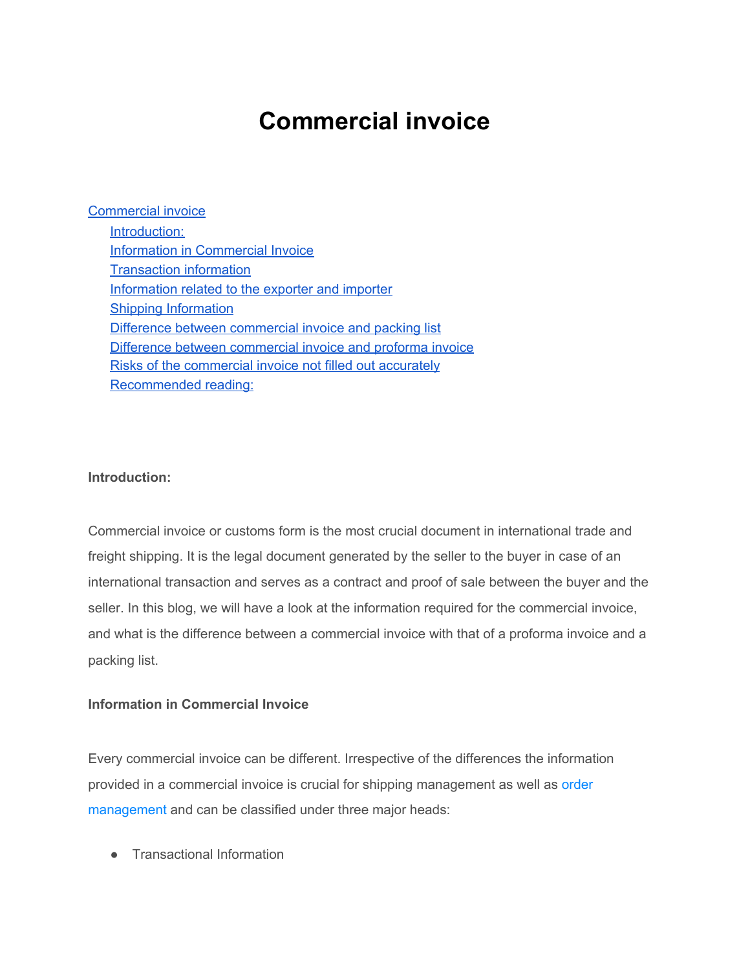# **Commercial invoice**

<span id="page-0-0"></span>[Commercial](#page-0-0) invoice [Introduction:](#page-0-1) Information in [Commercial](#page-0-2) Invoice [Transaction](#page-1-0) information [Information](#page-2-0) related to the exporter and importer Shipping [Information](#page-3-0) Difference between [commercial](#page-4-0) invoice and packing list Difference between [commercial](#page-6-0) invoice and proforma invoice Risks of the [commercial](#page-6-1) invoice not filled out accurately [Recommended](#page-6-2) reading:

## <span id="page-0-1"></span>**Introduction:**

Commercial invoice or customs form is the most crucial document in international trade and freight shipping. It is the legal document generated by the seller to the buyer in case of an international transaction and serves as a contract and proof of sale between the buyer and the seller. In this blog, we will have a look at the information required for the commercial invoice, and what is the difference between a commercial invoice with that of a proforma invoice and a packing list.

#### <span id="page-0-2"></span>**Information in Commercial Invoice**

Every commercial invoice can be different. Irrespective of the differences the information provided in a commercial invoice is crucial for shipping management as well as [order](https://www.orderhive.com/what-is-order-management.html) [management](https://www.orderhive.com/what-is-order-management.html) and can be classified under three major heads:

● Transactional Information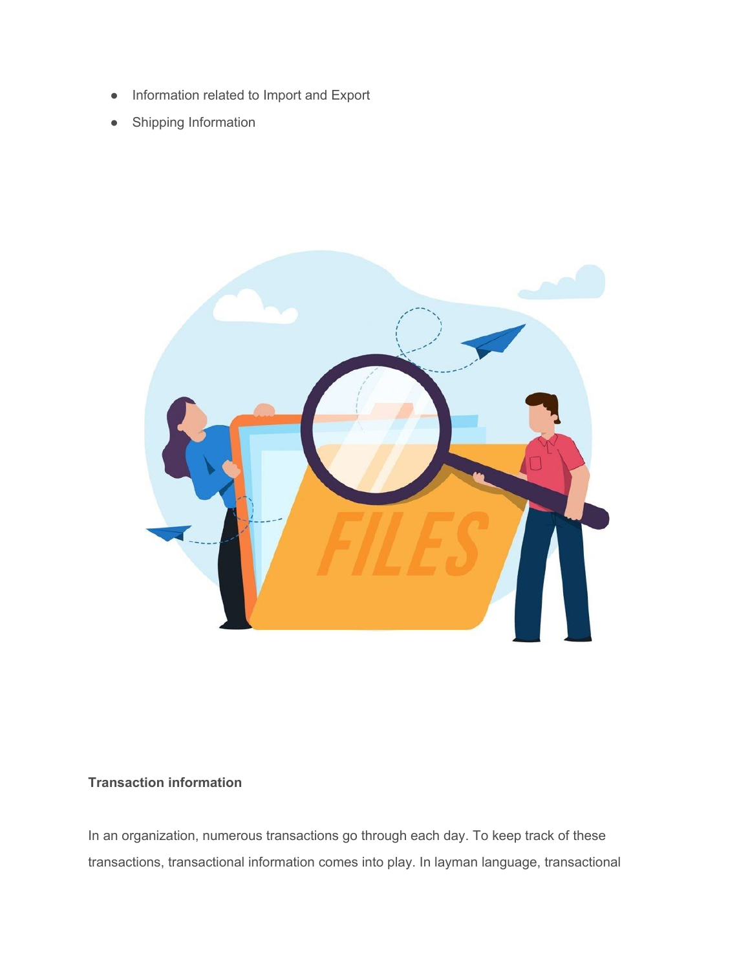- Information related to Import and Export
- Shipping Information



# <span id="page-1-0"></span>**Transaction information**

In an organization, numerous transactions go through each day. To keep track of these transactions, transactional information comes into play. In layman language, transactional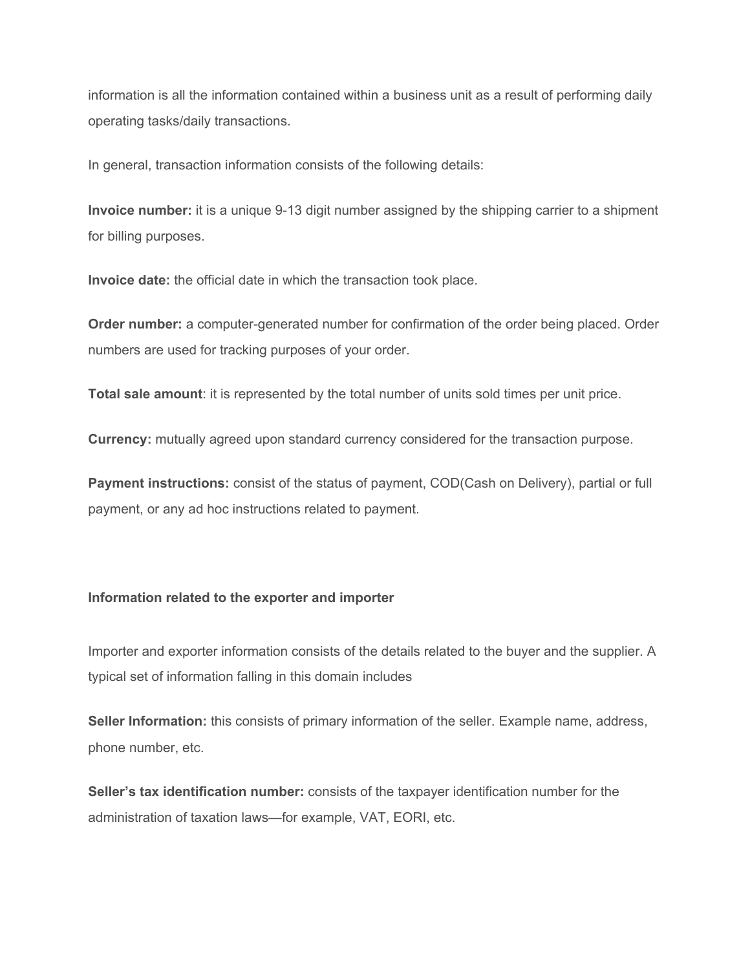information is all the information contained within a business unit as a result of performing daily operating tasks/daily transactions.

In general, transaction information consists of the following details:

**Invoice number:** it is a unique 9-13 digit number assigned by the shipping carrier to a shipment for billing purposes.

**Invoice date:** the official date in which the transaction took place.

**Order number:** a computer-generated number for confirmation of the order being placed. Order numbers are used for tracking purposes of your order.

**Total sale amount**: it is represented by the total number of units sold times per unit price.

**Currency:** mutually agreed upon standard currency considered for the transaction purpose.

**Payment instructions:** consist of the status of payment, COD(Cash on Delivery), partial or full payment, or any ad hoc instructions related to payment.

#### <span id="page-2-0"></span>**Information related to the exporter and importer**

Importer and exporter information consists of the details related to the buyer and the supplier. A typical set of information falling in this domain includes

**Seller Information:** this consists of primary information of the seller. Example name, address, phone number, etc.

**Seller's tax identification number:** consists of the taxpayer identification number for the administration of taxation laws—for example, VAT, EORI, etc.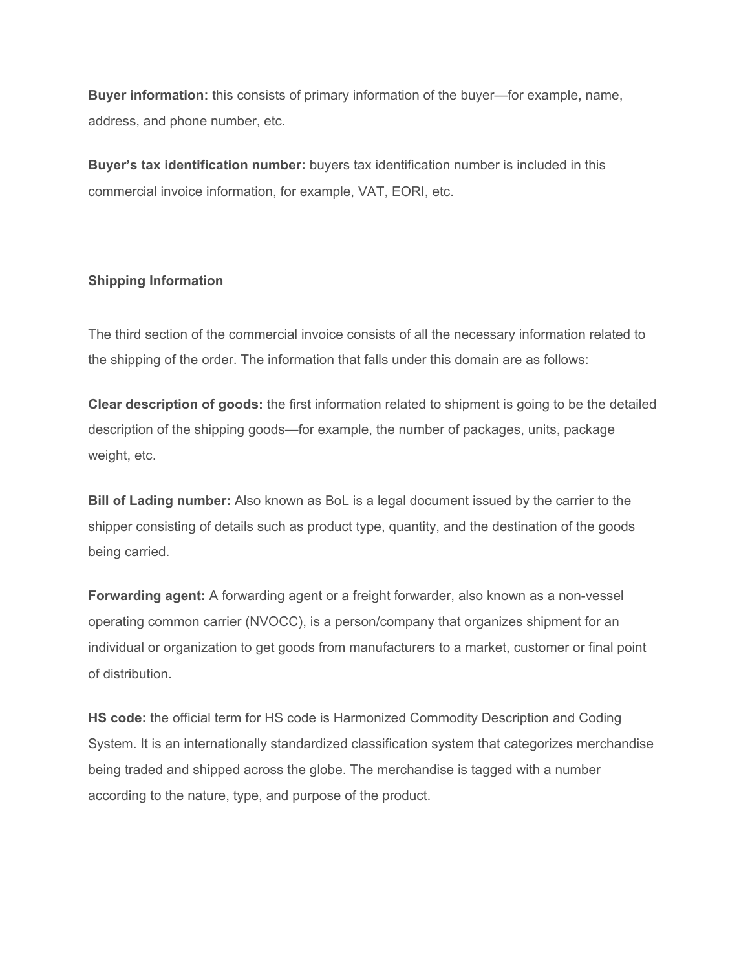**Buyer information:** this consists of primary information of the buyer—for example, name, address, and phone number, etc.

**Buyer's tax identification number:** buyers tax identification number is included in this commercial invoice information, for example, VAT, EORI, etc.

## <span id="page-3-0"></span>**Shipping Information**

The third section of the commercial invoice consists of all the necessary information related to the shipping of the order. The information that falls under this domain are as follows:

**Clear description of goods:** the first information related to shipment is going to be the detailed description of the shipping goods—for example, the number of packages, units, package weight, etc.

**Bill of Lading number:** Also known as BoL is a legal document issued by the carrier to the shipper consisting of details such as product type, quantity, and the destination of the goods being carried.

**Forwarding agent:** A forwarding agent or a freight forwarder, also known as a non-vessel operating common carrier (NVOCC), is a person/company that organizes shipment for an individual or organization to get goods from manufacturers to a market, customer or final point of distribution.

**HS code:** the official term for HS code is Harmonized Commodity Description and Coding System. It is an internationally standardized classification system that categorizes merchandise being traded and shipped across the globe. The merchandise is tagged with a number according to the nature, type, and purpose of the product.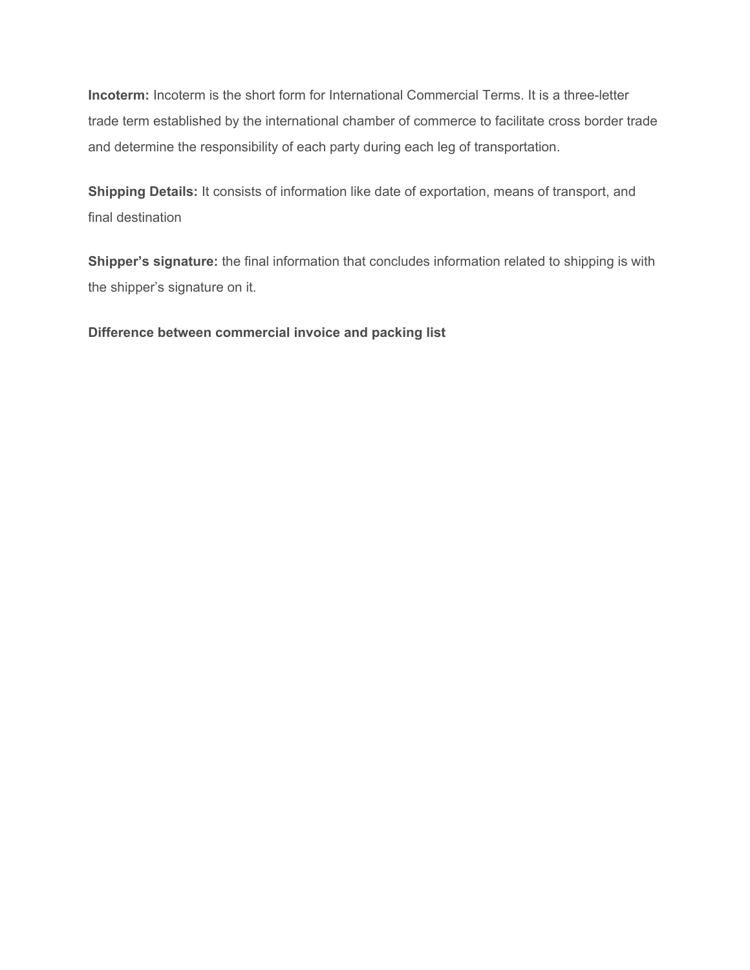**Incoterm:** Incoterm is the short form for International Commercial Terms. It is a three-letter trade term established by the international chamber of commerce to facilitate cross border trade and determine the responsibility of each party during each leg of transportation.

**Shipping Details:** It consists of information like date of exportation, means of transport, and final destination

**Shipper's signature:** the final information that concludes information related to shipping is with the shipper's signature on it.

<span id="page-4-0"></span>**Difference between commercial invoice and packing list**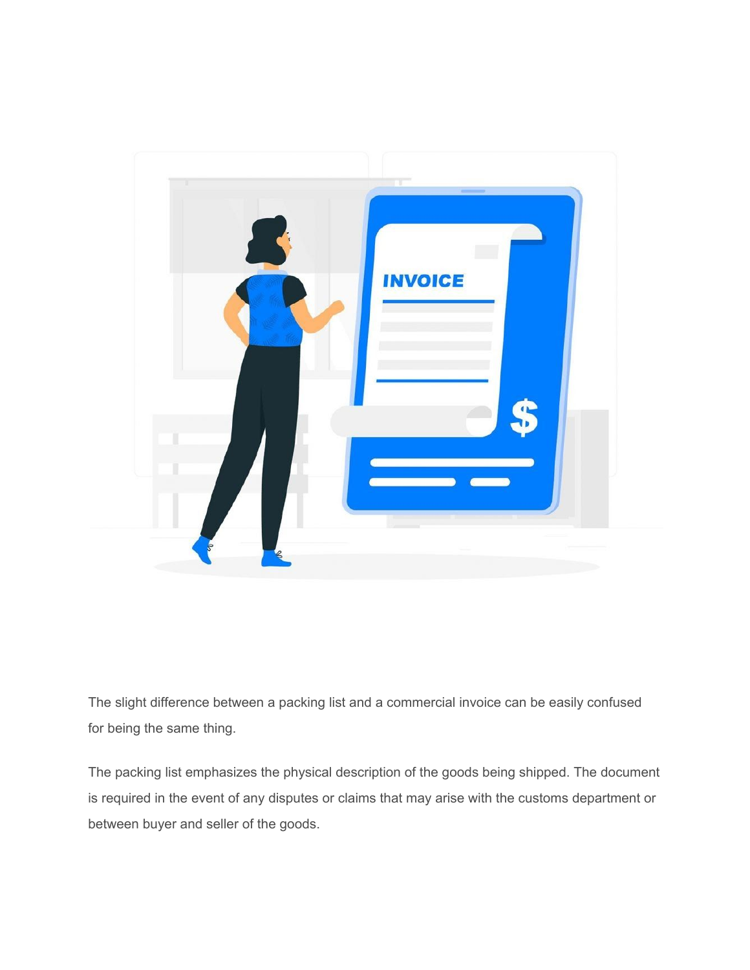

The slight difference between a packing list and a commercial invoice can be easily confused for being the same thing.

The packing list emphasizes the physical description of the goods being shipped. The document is required in the event of any disputes or claims that may arise with the customs department or between buyer and seller of the goods.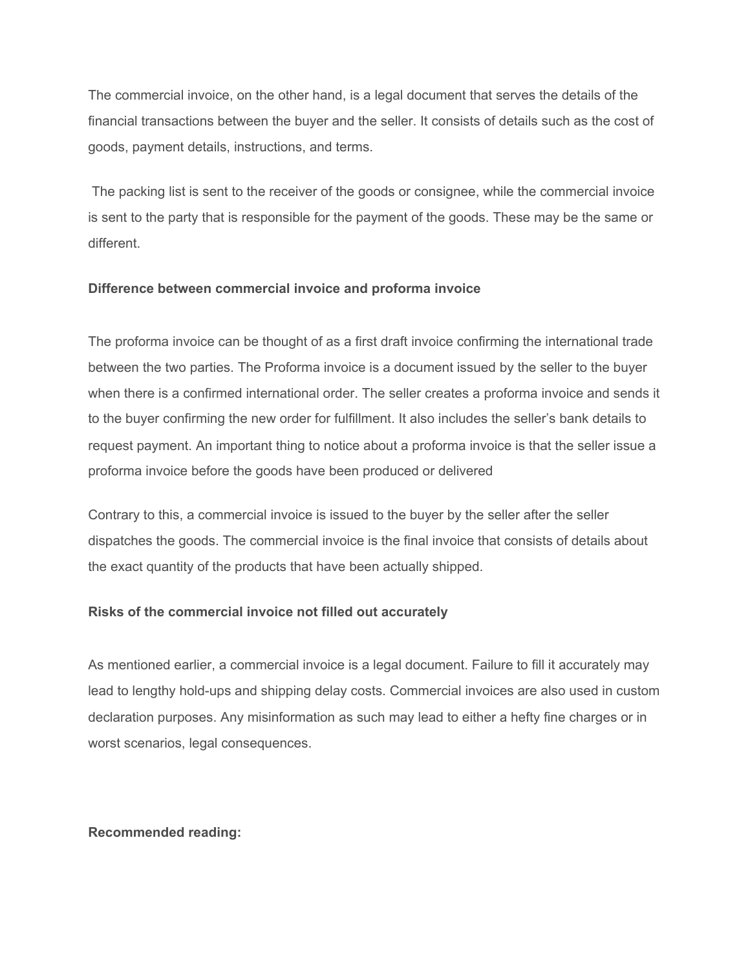The commercial invoice, on the other hand, is a legal document that serves the details of the financial transactions between the buyer and the seller. It consists of details such as the cost of goods, payment details, instructions, and terms.

The packing list is sent to the receiver of the goods or consignee, while the commercial invoice is sent to the party that is responsible for the payment of the goods. These may be the same or different.

## <span id="page-6-0"></span>**Difference between commercial invoice and proforma invoice**

The proforma invoice can be thought of as a first draft invoice confirming the international trade between the two parties. The Proforma invoice is a document issued by the seller to the buyer when there is a confirmed international order. The seller creates a proforma invoice and sends it to the buyer confirming the new order for fulfillment. It also includes the seller's bank details to request payment. An important thing to notice about a proforma invoice is that the seller issue a proforma invoice before the goods have been produced or delivered

Contrary to this, a commercial invoice is issued to the buyer by the seller after the seller dispatches the goods. The commercial invoice is the final invoice that consists of details about the exact quantity of the products that have been actually shipped.

# <span id="page-6-1"></span>**Risks of the commercial invoice not filled out accurately**

As mentioned earlier, a commercial invoice is a legal document. Failure to fill it accurately may lead to lengthy hold-ups and shipping delay costs. Commercial invoices are also used in custom declaration purposes. Any misinformation as such may lead to either a hefty fine charges or in worst scenarios, legal consequences.

## <span id="page-6-2"></span>**Recommended reading:**